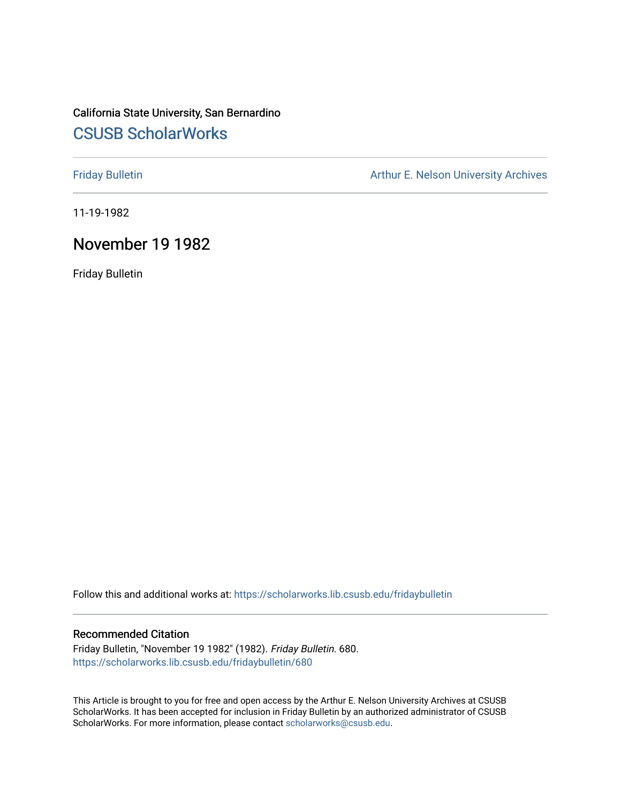# California State University, San Bernardino [CSUSB ScholarWorks](https://scholarworks.lib.csusb.edu/)

[Friday Bulletin](https://scholarworks.lib.csusb.edu/fridaybulletin) **Arthur E. Nelson University Archives** Arthur E. Nelson University Archives

11-19-1982

## November 19 1982

Friday Bulletin

Follow this and additional works at: [https://scholarworks.lib.csusb.edu/fridaybulletin](https://scholarworks.lib.csusb.edu/fridaybulletin?utm_source=scholarworks.lib.csusb.edu%2Ffridaybulletin%2F680&utm_medium=PDF&utm_campaign=PDFCoverPages)

#### Recommended Citation

Friday Bulletin, "November 19 1982" (1982). Friday Bulletin. 680. [https://scholarworks.lib.csusb.edu/fridaybulletin/680](https://scholarworks.lib.csusb.edu/fridaybulletin/680?utm_source=scholarworks.lib.csusb.edu%2Ffridaybulletin%2F680&utm_medium=PDF&utm_campaign=PDFCoverPages)

This Article is brought to you for free and open access by the Arthur E. Nelson University Archives at CSUSB ScholarWorks. It has been accepted for inclusion in Friday Bulletin by an authorized administrator of CSUSB ScholarWorks. For more information, please contact [scholarworks@csusb.edu.](mailto:scholarworks@csusb.edu)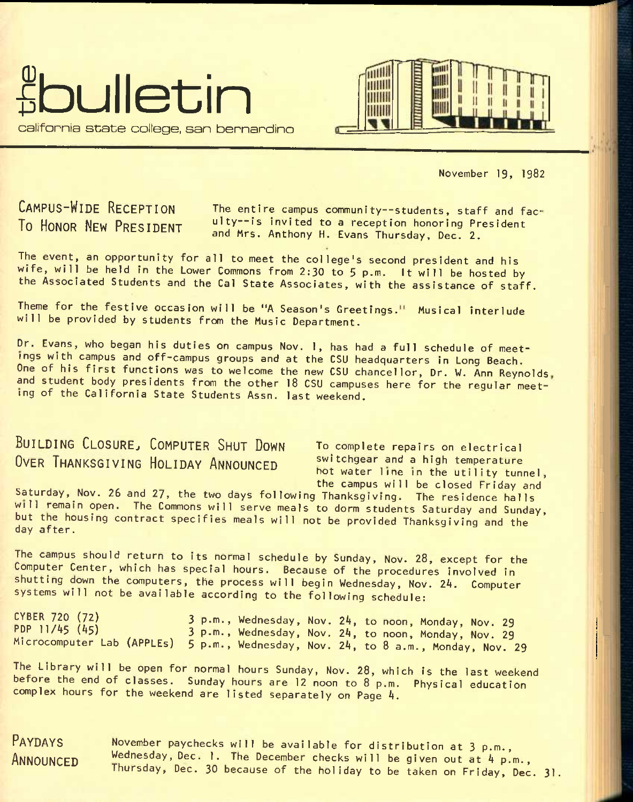



November 19, 1982

CAMPUS-WIDE RECEPTION To HONOR NEW PRESIDENT

The entire campus community--students, staff and faculty--is invited to a reception honoring President and Mrs. Anthony H. Evans Thursday, Dec. 2.

The event, an opportunity for all to meet the college's second president and his wife, will be held in the Lower Commons from 2:30 to 5 p.m. It will be hosted by the Associated Students and the Gal State Associates, with the assistance of staff.

Theme for the festive occasion will be "A Season's Greetings." Musical interlude will be provided by students from the Music Department.

Dr. Evans, who began his duties on campus Nov. 1, has had a full schedule of meetings with campus and off-campus groups and at the CSU headquarters In Long Beach, One of his first functions was to welcome the new CSU chancellor, Dr. W. Ann Reynolds, and student body presidents from the other 18 CSU campuses here for the regular meeting of the California State Students Assn. last weekend.

# BUILDING CLOSURE, COMPUTER SHUT DOWN To complete repairs on electrical OVER THANKSGIVING HOLIDAY ANNOUNCED switchgear and a high temperature

hot water line in the utility tunnel, the campus will be closed Friday and

Saturday, Nov. 26 and 27, the two days following Thanksgiving. The residence halls will remain open. The Commons will serve meals to dorm students Saturday and Sunday, but the housing contract specifies meals will not be provided Thanksgiving and the day after.

The campus should return to its normal schedule by Sunday, Nov. 28, except for the Computer Center, which has special hours. Because of the procedures involved in shutting down the computers, the process will begin Wednesday, Nov. *2k.* Computer systems will not be available according to the following schedule:

CYBER 720 (72) PDF 11/45 (45) Microcomputer Lab (APPLEs) 3 p.m., Wednesday, Nov, 24, to noon, Monday, Nov. 29 3 p.m., Wednesday, Nov. 24, to noon, Monday, Nov. 29 5 p.m., Wednesday, Nov. 24, to 8 a.m., Monday, Nov. 29

The Library will be open for normal hours Sunday, Nov. 28, which is the last weekend before the end of classes. Sunday hours are 12 noon to 8 p.m. Physical education complex hours for the weekend are listed separately on Page 4.

PAYDAYS ANNOUNCED

November paychecks will be available for distribution at 3 p.m., Wednesday, Dec. 1. The December checks will be given out at 4 p.m., Thursday, Dec. 30 because of the holiday to be taken on Friday, Dec. 31.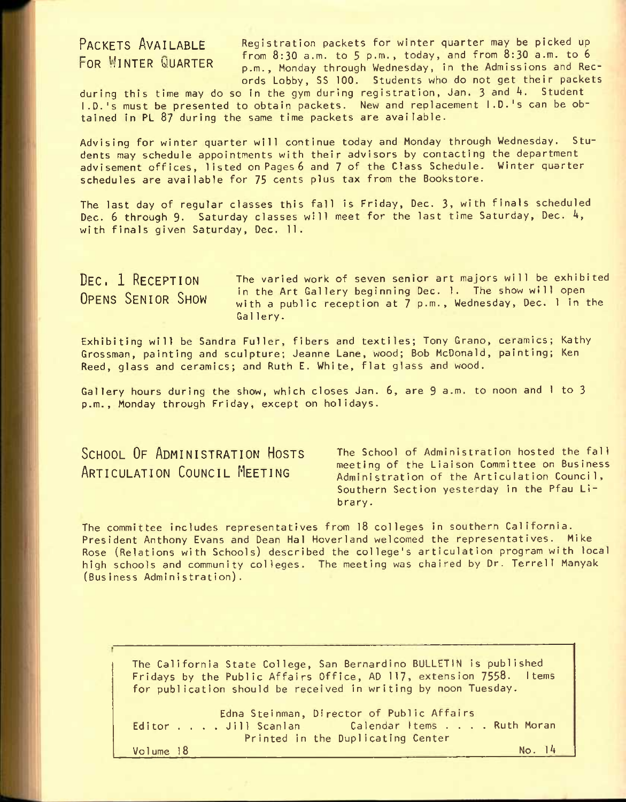PACKETS AVAILABLE Registration packets for winter quarter may be picked up FOR WINTER WURKER from 8:30 a.m. to 5 p.m., today, and from 8:30 a.m. to 6 p.m., Monday through Wednesday, in the Admissions and Records Lobby, SS 100. Students who do not get their packets

during this time may do so in the gym during registration, Jan. 3 and 4. Student I.D.'s must be presented to obtain packets. New and replacement I.D.'s can be obtained in PL 87 during the same time packets are available.

Advising for winter quarter will continue today and Monday through Wednesday. Students may schedule appointments with their advisors by contacting the department advisement offices, listed on Pages 6 and 7 of the Class Schedule. Winter quarter schedules are available for 75 cents plus tax from the Bookstore.

The last day of regular classes this fall is Friday, Dec. 3, with finals scheduled Dec. **6** through **9.** Saturday classes will meet for the last time Saturday, Dec. 4, with finals given Saturday, Dec. 11.

DEC. 1 RECEPTION OPENS SENIOR SHOW The varied work of seven senior art majors will be exhibited in the Art Gallery beginning Dec. 1. The show will open with a public reception at 7 p.m., Wednesday, Dec. 1 in the Gallery.

Exhibiting will be Sandra Fuller, fibers and textiles; Tony Grano, ceramics; Kathy Grossman, painting and sculpture; Jeanne Lane, wood; Bob McDonald, painting; Ken Reed, glass and ceramics; and Ruth E. White, flat glass and wood.

Gallery hours during the show, which closes Jan. 6, are 9 a.m. to noon and I to 3 p.m., Monday through Friday, except on holidays.

SCHOOL OF ADMINISTRATION HOSTS ARTICULATION COUNCIL MEETING

The School of Administration hosted the fall meeting of the Liaison Committee on Business Administration of the Articulation Council, Southern Section yesterday in the Pfau Library.

The committee includes representatives from 18 colleges in southern California. President Anthony Evans and Dean Hal Hoverland welcomed the representatives. Mike Rose (Relations with Schools) described the college's articulation program with local high schools and community colleges. The meeting was chaired by Dr. Terrell Manyak (Business Administration).

The California State College, San Bernardino BULLETIN Is published Fridays by the Public Affairs Office, AD 117, extension 7558. Items for publication should be received in writing by noon Tuesday.

Edna Steinman, Director of Public Affairs<br>Editor . . . Jill Scanlan Calendar Items . . . . Ruth Moran Editor . . . Jill Scanlan<br>Printed in the Duplicating Center Volume 18 No. 14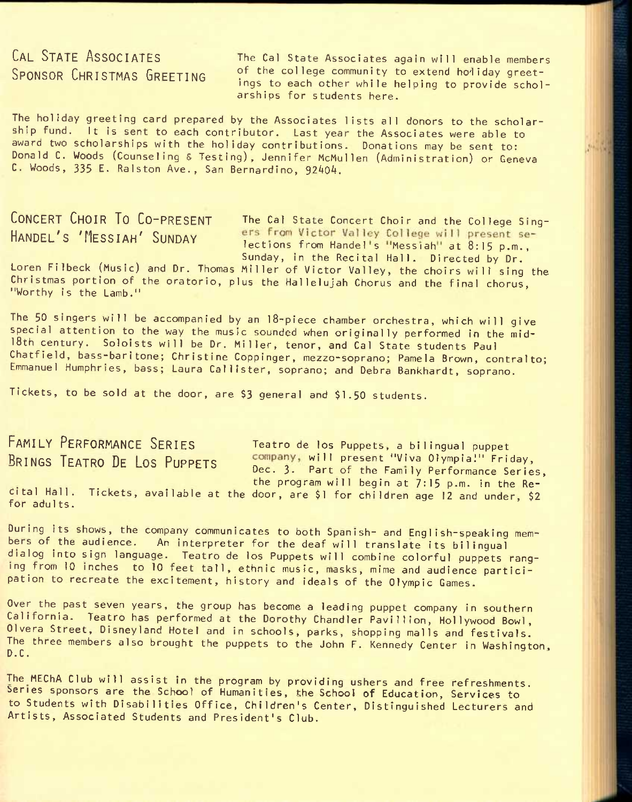# CAL STATE ASSOCIATES SPONSOR CHRISTMAS GREETING

The Cal State Associates again will enable members of the college community to extend holiday greetings to each other while helping to provide scholarships for students here.

The holiday greeting card prepared by the Associates lists all donors to the scholarship fund. It is sent to each contributor. Last year the Associates were able to award two scholarships with the holiday contributions. Donations may be sent to: Donald C. Woods (Counseling £ Testing), Jennifer McMullen (Administration) or Geneva C. Woods, 335 E. Ralston Ave., San Bernardino, 92404.

CONCERT CHOIR TO CO-PRESENT The Cal State Concert Choir and the College Sing-HANDEL'S 'MESSIAH' SUNDAY ers from Victor Valley College will present se-<br>lections from Handel's "Messiah" at 8:15 p.m., Sunday, in the Recital Hall. Directed by Dr.

Loren Filbeck (Music) and Dr. Thomas Miller of Victor Valley, the choirs will sing the Christmas portion of the oratorio, plus the Hallelujah Chorus and the final chorus, "Worthy is the Lamb."

The 50 singers will be accompanied by an l8-piece chamber orchestra, which will give special attention to the way the music sounded when originally performed in the mid-18th century. Soloists will be Dr. Miller, tenor, and Cal State students Paul Chatfield, bass-baritone; Christine Coppinger, mezzo-soprano; Pamela Brown, contralto; Emmanuel Humphries, bass; Laura Caliister, soprano; and Debra Bankhardt, soprano.

Tickets, to be sold at the door, are \$3 general and \$1.50 students.

FAMILY PERFORMANCE SERIES Teatro de los Puppets, a bilingual puppet BRINGS TEATRO DE LOS PUPPETS COMPANY, will present "Viva Olympia!" Friday, Dec. 3. Part of the Family Performance Series, the program will begin at 7:15 p.m. In the Recital Hall. Tickets, available at the door, are \$1 for children age 12 and under, \$2 for adu1ts.

During its shows, the company communicates to both Spanish- and English-speaking members of the audience. An interpreter for the deaf will translate its bilingual dialog into sign language. Teatro de los Puppets will combine colorful puppets ranging from 10 inches to 10 feet tall, ethnic music, masks, mime and audience participation to recreate the excitement, history and ideals of the Olympic Games.

Over the past seven years, the group has become a leading puppet company in southern California. Teatro has performed at the Dorothy Chandler Pavillion, Hollywood Bowl, Olvera Street, Disneyland Hotel and In schools, parks, shopping malls and festivals. The three members also brought the puppets to the John F. Kennedy Center in Washington, D.C. Second contract the contract of the contract of the contract of the monoton in monoton in

The MEChA Club will assist in the program by providing ushers and free refreshments. Series sponsors are the School of Humanities, the School of Education, Services to to Students with Disabilities Office, Children's Center, Distinguished Lecturers and Artists, Associated Students and President's Club.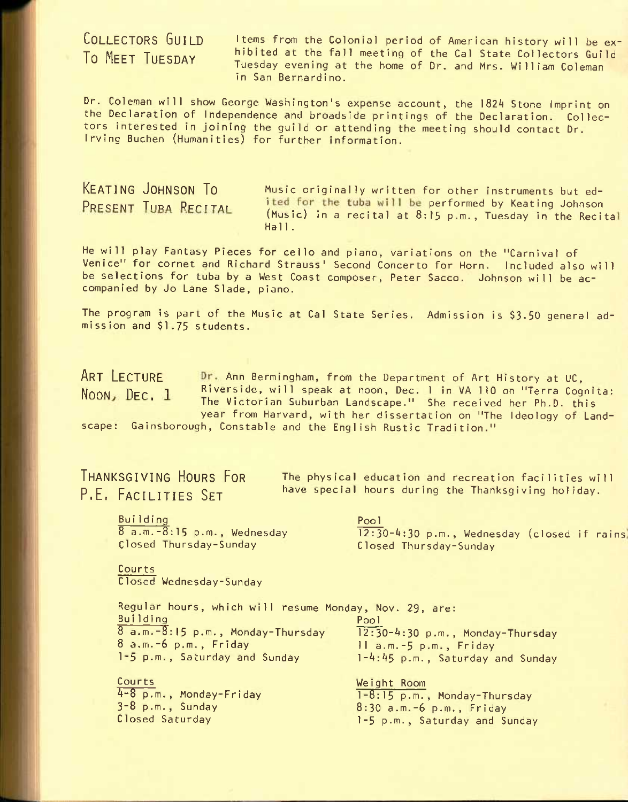## COLLECTORS GUILD To MEET TUESDAY

Items from the Colonial period of American history will be exhibited at the fall meeting of the Gal State Collectors Guild Tuesday evening at the home of Dr. and Mrs. William Coleman in San Bernardino.

Dr. Coleman will show George Washington's expense account, the 182A Stone Imprint on the Declaration of Independence and broadside printings of the Declaration. Collectors interested in joining the guild or attending the meeting should contact Dr. Irving Buchen (Humanities) for further information.

KEATING JOHNSON TO MUSIC originally written for other instruments but ed-PRESENT TUBA RECITAL ited for the tuba will be performed by Keating Johnson (Music) in a recital at 8:15 p.m., Tuesday in the Recital Hall.

He will play Fantasy Pieces for cello and piano, variations on the "Carnival of Venice" for cornet and Richard Strauss' Second Concerto for Horn. Included also will be selections for tuba by a West Coast composer, Peter Sacco. Johnson will be accompanied by Jo Lane Slade, piano.

The program is part of the Music at Cal State Series. Admission is \$3-50 general admission and \$1.75 students.

ART LECTURE Dr. Ann Bermingham, from the Department of Art History at UC, NOON,  $\texttt{Dec. 1}$  Riverside, will speak at noon, Dec. 1 in VA 110 on "Terra Cognita:<br>The Victorian Suburban Landscape." She received her Ph.D. this year from Harvard, with her dissertation on "The Ideology of Landscape: Gainsborough, Constable and the English Rustic Tradition."

THANKSGIVING HOURS FOR P.E. FACILITIES SET

The physical education and recreation facilities will have special hours during the Thanksgiving holiday.

**Building** 8 a.m.-8:15 p.m., Wednesday Closed Thursday-Sunday

Pool 12:30-4:30 p.m., Wednesday (closed if rains Closed Thursday-Sunday

Courts Closed Wednesday-Sunday

Regular hours, which will resume Monday, Nov. 29, are: Building 8 a.m.-8:15 p.m., Monday-Thursday 8 a.m.-6 p.m., Friday 1-5 p.m., Saturday and Sunday Pool 12:30-4:30 p.m., Monday-Thursday 11 a.m.-5 p.m., Frlday 1-4:45 p.m., Saturday and Sunday

Courts 4-8 p.m., Monday-Friday  $3-8$  p.m., Sunday Closed Saturday

Weight Room 1-8:15 p.m., Monday-Thursday 8:30 a.m.-6 p.m., Friday 1-5 p.m., Saturday and Sunday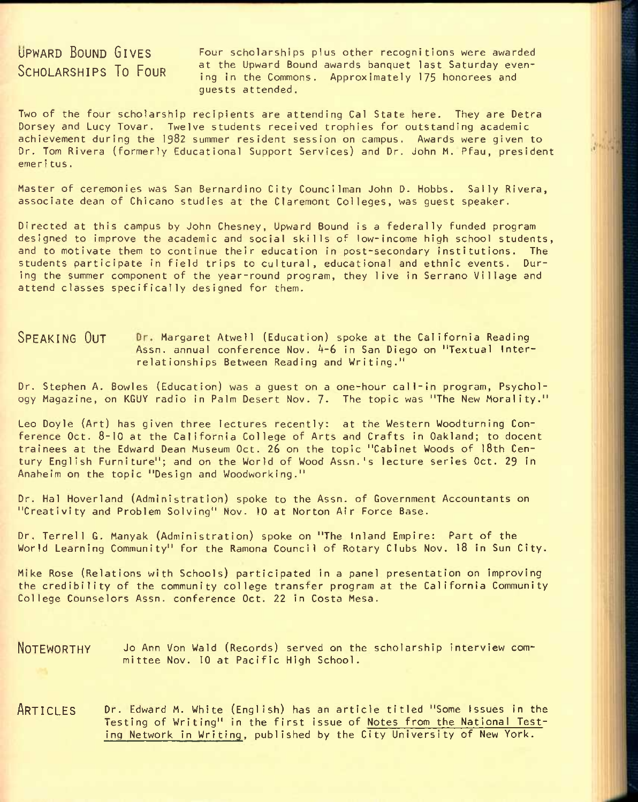# UPWARD BOUND GIVES SCHOLARSHIPS TO FOUR

Four scholarships plus other recognitions were awarded at the Upward Bound awards banquet last Saturday evening in the Commons. Approximately 175 honorees and guests attended.

Two of the four scholarship recipients are attending Gal State here. They are Detra Dorsey and Lucy Tovar. Twelve students received trophies for outstanding academic achievement during the 1982 summer resident session on campus. Awards were given to Or. Tom Rivera (formerly Educational Support Services) and Dr. John M. Pfau, president emeri tus.

Master of ceremonies was San Bernardino City Councilman John D. Hobbs. Sally Rivera, associate dean of Chicano studies at the Claremont Colleges, was guest speaker.

Directed at this campus by John Chesney, Upward Bound is a federally funded program designed to improve the academic and social skills of low-income high school students, and to motivate them to continue their education in post-secondary Institutions. The students participate in field trips to cultural, educational and ethnic events. During the summer component of the year-round program, they live in Serrano Village and attend classes specifically designed for them.

SPEAKING OUT Dr. Margaret Atwell (Education) spoke at the California Reading Assn. annual conference Nov. 4-6 in San Diego on "Textual Interrelationships Between Reading and Writing."

Dr. Stephen A. Bowles (Education) was a guest on a one-hour call-in program. Psychology Magazine, on KGUY radio in Palm Desert Nov. 7- The topic was "The New Morality."

Leo Doyle (Art) has given three lectures recently: at the Western Woodturning Conference Oct. 8-10 at the California College of Arts and Crafts in Oakland; to docent trainees at the Edward Dean Museum Oct. 26 on the topic "Cabinet Woods of l8th Century English Furniture"; and on the World of Wood Assn.'s lecture series Oct. 29 In Anaheim on the topic "Design and Woodworking."

Dr. Hal Hoverland (Administration) spoke to the Assn. of Government Accountants on "Creativity and Problem Solving" Nov. 10 at Norton Air Force Base.

Dr. Terrell G. Manyak (Administration) spoke on "The Inland Empire: Part of the World Learning Community" for the Ramona Council of Rotary Clubs Nov. 18 in Sun City.

Mike Rose (Relations with Schools) participated in a panel presentation on improving the credibility of the community college transfer program at the California Community College Counselors Assn. conference Oct. 22 in Costa Mesa.

NOTEWORTHY JO Ann Von Wald (Records) served on the scholarship interview committee Nov. 10 at Pacific High School.

ARTICLES Dr. Edward M. White (English) has an article titled "Some Issues in the Testing of Writing" in the first issue of Notes from the National Testing Network in Writing, published by the City University of New York.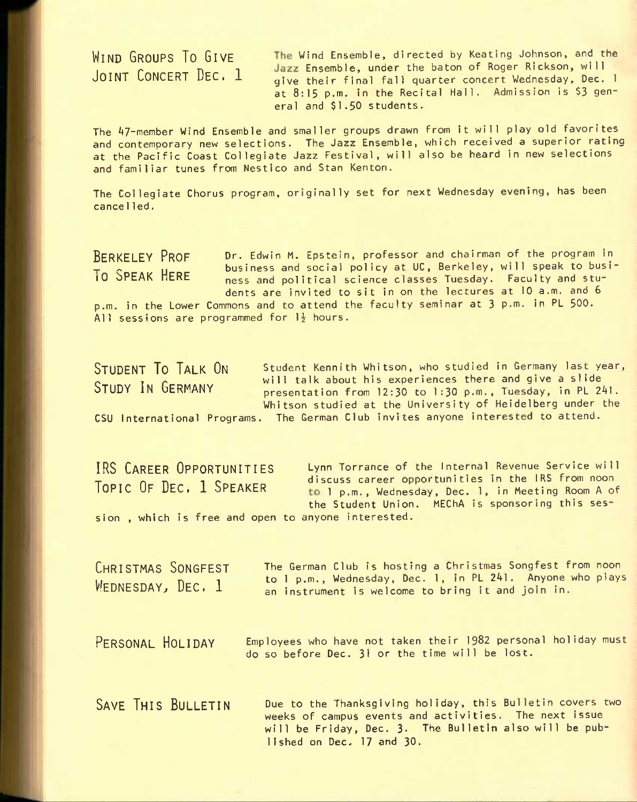WIND GROUPS TO GIVE The Wind Ensemble, directed by Keating Johnson, and the IP n 1 Ensemble, under the baton of Roger Rickson, will give their final fall quarter concert Wednesday, Dec. 1 at 8:15 p.m. in the Recital Hall. Admission is \$3 general and \$1.50 students.

The 47-member Wind Ensemble and smaller groups drawn from It will play old favorites and contemporary new selections. The Jazz Ensemble, which received a superior rating at the Pacific Coast Collegiate Jazz Festival, will also be heard in new selections and familiar tunes from Nestico and Stan Kenton.

The Collegiate Chorus program, originally set for next Wednesday evening, has been cancel led.

BERKELEY PROF Dr. Edwin M. Epstein, professor and chairman of the program in **EXECUTE:** U.S. Internal business and social policy at UC, Berkeley, will speak to busi-<br>To SPEAK HERE and solitical science classes Tuesday. Equity and stuness and political science classes Tuesday. Faculty and students are invited to sit in on the lectures at 10 a.m. and 6

p.m. in the Lower Commons and to attend the faculty seminar at 3 p.m. in PL 500. All sessions are programmed for  $1\frac{1}{2}$  hours.

STUDENT TO TAIK ON Student Kennith Whitson, who studied in Germany last year,  $\frac{1}{\sqrt{2}}$  will talk about his experiences there and give a slide<br>STIINY IN GERMANY presentation from  $12:30$  to 1:30 p.m., Tuesday, in PL 241. Whitson studied at the University of Heidelberg under the CSU International Programs. The German Club invites anyone interested to attend.

IRS CAREER OPPORTUNITIES Lynn Torrance of the internal Revenue Service will TOPIC OF DEC. 1 SPEAKER discuss career opportunities in the IRS from noon to I p.m., Wednesday, Dec. 1, in Meeting Room A of the Student Union. MEChA is sponsoring this session , which is free and open to anyone interested.

CHRISTMAS SONGFEST WEDNESDAY, DEC. 1 The German Club is hosting a Christmas Songfest from noon to 1 p.m., Wednesday, Dec. 1, in PL 2^1. Anyone who plays an instrument is welcome to bring it and join in.

PERSONAL HOLIDAY Employees who have not taken their 1982 personal holiday must do so before Dec. 31 or the time will be lost.

SAVE THIS BULLETIN Due to the Thanksgiving holiday, this Bulletin covers two weeks of campus events and activities. The next issue will be Friday, Dec. 3. The Bulletin also will be published on Dec. 17 and 30.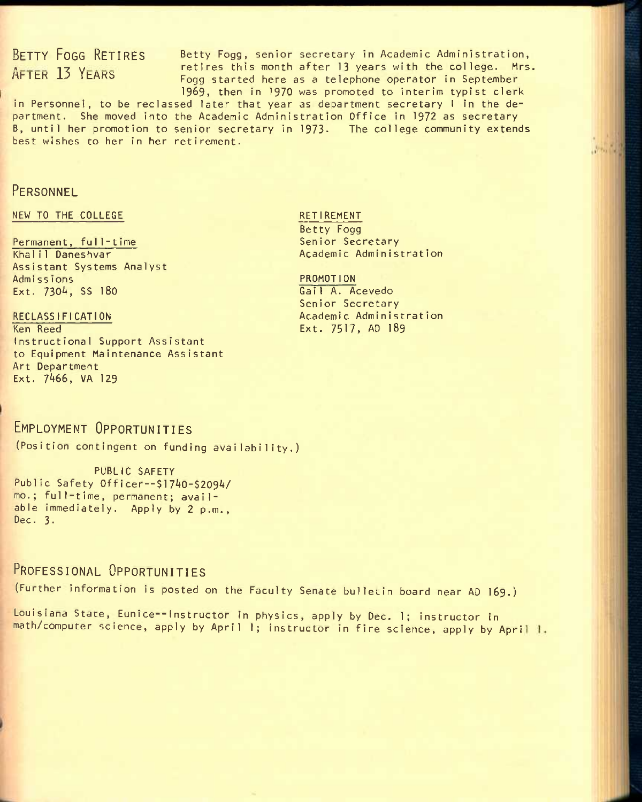BETTY FOGG RETIRES Betty Fogg, senior secretary in Academic Administration,  $A$  FTER 13 YEARS retires this month after 13 years with the college. Mrs. Fogg started here as a telephone operator in September 1969, then In 1970 was promoted to interim typist clerk

in Personnel, to be reclassed later that year as department secretary I in the department. She moved into the Academic Administration Office in 1972 as secretary B, until her promotion to senior secretary in 1973. The college community extends best wishes to her in her retirement.

### **PERSONNEL**

#### NEW TO THE COLLEGE

#### Permanent, full-time

Khali1 Daneshvar Assistant Systems Analyst Admissions Ext. 730A, SS 180

#### RECLASSIFICATION

Ken Reed Instructional Support Assistant to Equipment Maintenance Assistant Art Department Ext. 7466, VA 129

#### RETIREMENT

Betty Fogg Senior Secretary Academic Administration **Moule** 

## PROMOTION

Gai1 A. Acevedo Senior Secretary Academic Administration Ext. 7517, AD 189

## EMPLOYMENT OPPORTUNITIES

(Position contingent on funding availability.)

PUBLIC SAFETY Public Safety Officer--\$1740-\$2094/ mo.; full-time, permanent; available Immediately. Apply by 2 p.m., Dec. 3.

## PROFESSIONAL OPPORTUNITIES

(Further information is posted on the Faculty Senate bulletin board near AD I69.)

Louisiana State, Eunice--Instructor in physics, apply by Dec. 1; instructor in math/computer science, apply by April 1; instructor in fire science, apply by April 1.